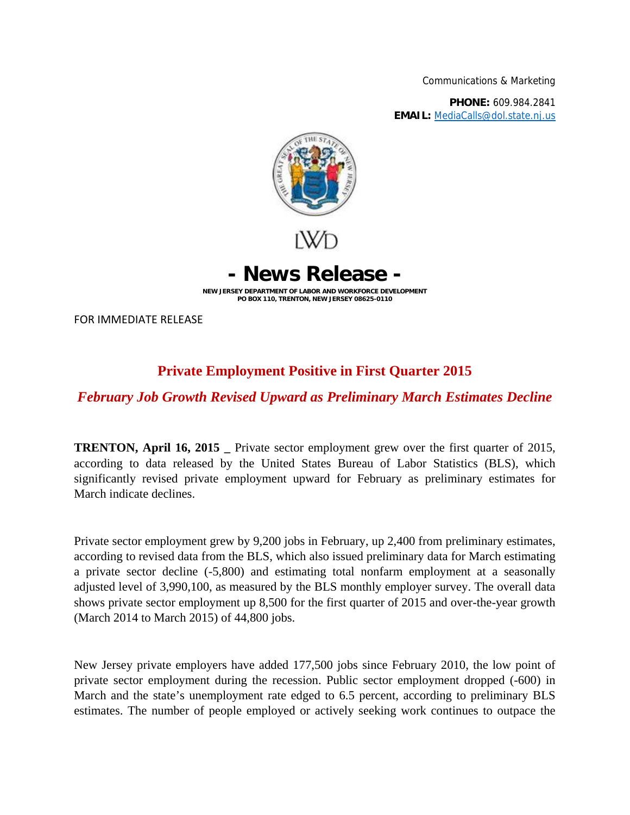Communications & Marketing

**PHONE:** 609.984.2841 **EMAIL:** MediaCalls@dol.state.nj.us



**- News Release -**

**NEW JERSEY DEPARTMENT OF LABOR AND WORKFORCE DEVELOPMENT PO BOX 110, TRENTON, NEW JERSEY 08625-0110**

FOR IMMEDIATE RELEASE

## **Private Employment Positive in First Quarter 2015**

## *February Job Growth Revised Upward as Preliminary March Estimates Decline*

**TRENTON, April 16, 2015** Private sector employment grew over the first quarter of 2015, according to data released by the United States Bureau of Labor Statistics (BLS), which significantly revised private employment upward for February as preliminary estimates for March indicate declines.

Private sector employment grew by 9,200 jobs in February, up 2,400 from preliminary estimates, according to revised data from the BLS, which also issued preliminary data for March estimating a private sector decline (-5,800) and estimating total nonfarm employment at a seasonally adjusted level of 3,990,100, as measured by the BLS monthly employer survey. The overall data shows private sector employment up 8,500 for the first quarter of 2015 and over-the-year growth (March 2014 to March 2015) of 44,800 jobs.

New Jersey private employers have added 177,500 jobs since February 2010, the low point of private sector employment during the recession. Public sector employment dropped (-600) in March and the state's unemployment rate edged to 6.5 percent, according to preliminary BLS estimates. The number of people employed or actively seeking work continues to outpace the